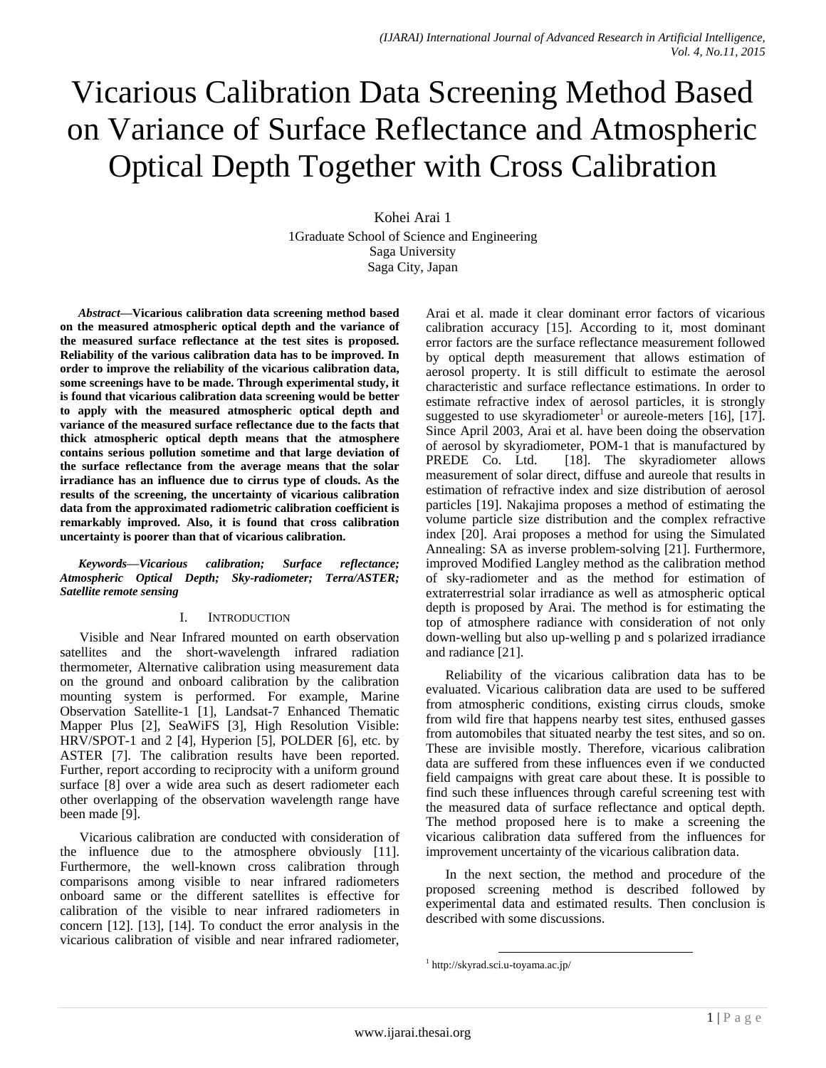# Vicarious Calibration Data Screening Method Based on Variance of Surface Reflectance and Atmospheric Optical Depth Together with Cross Calibration

Kohei Arai 1 1Graduate School of Science and Engineering Saga University Saga City, Japan

*Abstract***—Vicarious calibration data screening method based on the measured atmospheric optical depth and the variance of the measured surface reflectance at the test sites is proposed. Reliability of the various calibration data has to be improved. In order to improve the reliability of the vicarious calibration data, some screenings have to be made. Through experimental study, it is found that vicarious calibration data screening would be better to apply with the measured atmospheric optical depth and variance of the measured surface reflectance due to the facts that thick atmospheric optical depth means that the atmosphere contains serious pollution sometime and that large deviation of the surface reflectance from the average means that the solar irradiance has an influence due to cirrus type of clouds. As the results of the screening, the uncertainty of vicarious calibration data from the approximated radiometric calibration coefficient is remarkably improved. Also, it is found that cross calibration uncertainty is poorer than that of vicarious calibration.**

*Keywords—Vicarious calibration; Surface reflectance; Atmospheric Optical Depth; Sky-radiometer; Terra/ASTER; Satellite remote sensing*

# I. INTRODUCTION

Visible and Near Infrared mounted on earth observation satellites and the short-wavelength infrared radiation thermometer, Alternative calibration using measurement data on the ground and onboard calibration by the calibration mounting system is performed. For example, Marine Observation Satellite-1 [1], Landsat-7 Enhanced Thematic Mapper Plus [2], SeaWiFS [3], High Resolution Visible: HRV/SPOT-1 and 2 [4], Hyperion [5], POLDER [6], etc. by ASTER [7]. The calibration results have been reported. Further, report according to reciprocity with a uniform ground surface [8] over a wide area such as desert radiometer each other overlapping of the observation wavelength range have been made [9].

Vicarious calibration are conducted with consideration of the influence due to the atmosphere obviously [11]. Furthermore, the well-known cross calibration through comparisons among visible to near infrared radiometers onboard same or the different satellites is effective for calibration of the visible to near infrared radiometers in concern [12]. [13], [14]. To conduct the error analysis in the vicarious calibration of visible and near infrared radiometer, Arai et al. made it clear dominant error factors of vicarious calibration accuracy [15]. According to it, most dominant error factors are the surface reflectance measurement followed by optical depth measurement that allows estimation of aerosol property. It is still difficult to estimate the aerosol characteristic and surface reflectance estimations. In order to estimate refractive index of aerosol particles, it is strongly suggested to use skyradiometer<sup>1</sup> or aureole-meters [16], [17]. Since April 2003, Arai et al. have been doing the observation of aerosol by skyradiometer, POM-1 that is manufactured by PREDE Co. Ltd. [18]. The skyradiometer allows measurement of solar direct, diffuse and aureole that results in estimation of refractive index and size distribution of aerosol particles [19]. Nakajima proposes a method of estimating the volume particle size distribution and the complex refractive index [20]. Arai proposes a method for using the Simulated Annealing: SA as inverse problem-solving [21]. Furthermore, improved Modified Langley method as the calibration method of sky-radiometer and as the method for estimation of extraterrestrial solar irradiance as well as atmospheric optical depth is proposed by Arai. The method is for estimating the top of atmosphere radiance with consideration of not only down-welling but also up-welling p and s polarized irradiance and radiance [21].

Reliability of the vicarious calibration data has to be evaluated. Vicarious calibration data are used to be suffered from atmospheric conditions, existing cirrus clouds, smoke from wild fire that happens nearby test sites, enthused gasses from automobiles that situated nearby the test sites, and so on. These are invisible mostly. Therefore, vicarious calibration data are suffered from these influences even if we conducted field campaigns with great care about these. It is possible to find such these influences through careful screening test with the measured data of surface reflectance and optical depth. The method proposed here is to make a screening the vicarious calibration data suffered from the influences for improvement uncertainty of the vicarious calibration data.

In the next section, the method and procedure of the proposed screening method is described followed by experimental data and estimated results. Then conclusion is described with some discussions.

l 1 http://skyrad.sci.u-toyama.ac.jp/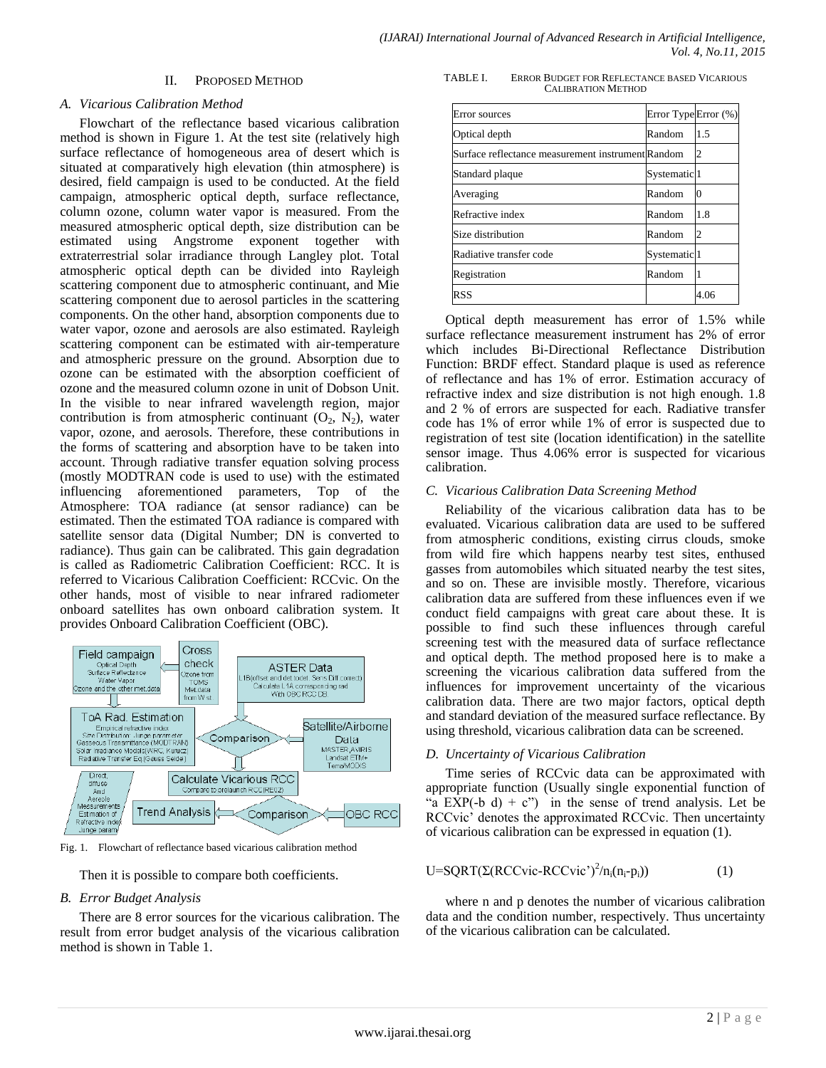### II. PROPOSED METHOD

# *A. Vicarious Calibration Method*

Flowchart of the reflectance based vicarious calibration method is shown in Figure 1. At the test site (relatively high surface reflectance of homogeneous area of desert which is situated at comparatively high elevation (thin atmosphere) is desired, field campaign is used to be conducted. At the field campaign, atmospheric optical depth, surface reflectance, column ozone, column water vapor is measured. From the measured atmospheric optical depth, size distribution can be estimated using Angstrome exponent together with extraterrestrial solar irradiance through Langley plot. Total atmospheric optical depth can be divided into Rayleigh scattering component due to atmospheric continuant, and Mie scattering component due to aerosol particles in the scattering components. On the other hand, absorption components due to water vapor, ozone and aerosols are also estimated. Rayleigh scattering component can be estimated with air-temperature and atmospheric pressure on the ground. Absorption due to ozone can be estimated with the absorption coefficient of ozone and the measured column ozone in unit of Dobson Unit. In the visible to near infrared wavelength region, major contribution is from atmospheric continuant  $(O_2, N_2)$ , water vapor, ozone, and aerosols. Therefore, these contributions in the forms of scattering and absorption have to be taken into account. Through radiative transfer equation solving process (mostly MODTRAN code is used to use) with the estimated influencing aforementioned parameters, Top of the Atmosphere: TOA radiance (at sensor radiance) can be estimated. Then the estimated TOA radiance is compared with satellite sensor data (Digital Number; DN is converted to radiance). Thus gain can be calibrated. This gain degradation is called as Radiometric Calibration Coefficient: RCC. It is referred to Vicarious Calibration Coefficient: RCCvic. On the other hands, most of visible to near infrared radiometer onboard satellites has own onboard calibration system. It provides Onboard Calibration Coefficient (OBC).



Fig. 1. Flowchart of reflectance based vicarious calibration method

Then it is possible to compare both coefficients.

# *B. Error Budget Analysis*

There are 8 error sources for the vicarious calibration. The result from error budget analysis of the vicarious calibration method is shown in Table 1.

TABLE I. ERROR BUDGET FOR REFLECTANCE BASED VICARIOUS CALIBRATION METHOD

| Error sources                                     | Error Type Error (%)    |      |
|---------------------------------------------------|-------------------------|------|
| Optical depth                                     | Random                  | 1.5  |
| Surface reflectance measurement instrument Random |                         | 2    |
| Standard plaque                                   | Systematic <sup>1</sup> |      |
| Averaging                                         | Random                  |      |
| Refractive index                                  | Random                  | 1.8  |
| Size distribution                                 | Random                  | 2    |
| Radiative transfer code                           | Systematic <sup>1</sup> |      |
| Registration                                      | Random                  |      |
| <b>RSS</b>                                        |                         | 4.06 |

Optical depth measurement has error of 1.5% while surface reflectance measurement instrument has 2% of error which includes Bi-Directional Reflectance Distribution Function: BRDF effect. Standard plaque is used as reference of reflectance and has 1% of error. Estimation accuracy of refractive index and size distribution is not high enough. 1.8 and 2 % of errors are suspected for each. Radiative transfer code has 1% of error while 1% of error is suspected due to registration of test site (location identification) in the satellite sensor image. Thus 4.06% error is suspected for vicarious calibration.

# *C. Vicarious Calibration Data Screening Method*

Reliability of the vicarious calibration data has to be evaluated. Vicarious calibration data are used to be suffered from atmospheric conditions, existing cirrus clouds, smoke from wild fire which happens nearby test sites, enthused gasses from automobiles which situated nearby the test sites, and so on. These are invisible mostly. Therefore, vicarious calibration data are suffered from these influences even if we conduct field campaigns with great care about these. It is possible to find such these influences through careful screening test with the measured data of surface reflectance and optical depth. The method proposed here is to make a screening the vicarious calibration data suffered from the influences for improvement uncertainty of the vicarious calibration data. There are two major factors, optical depth and standard deviation of the measured surface reflectance. By using threshold, vicarious calibration data can be screened.

# *D. Uncertainty of Vicarious Calibration*

Time series of RCCvic data can be approximated with appropriate function (Usually single exponential function of "a  $EXP(-b d) + c$ ") in the sense of trend analysis. Let be RCCvic' denotes the approximated RCCvic. Then uncertainty of vicarious calibration can be expressed in equation (1).

$$
U = SQRT(\Sigma(RCCvic-RCCvic^*)^2/n_i(n_i-p_i))
$$
\n(1)

where n and p denotes the number of vicarious calibration data and the condition number, respectively. Thus uncertainty of the vicarious calibration can be calculated.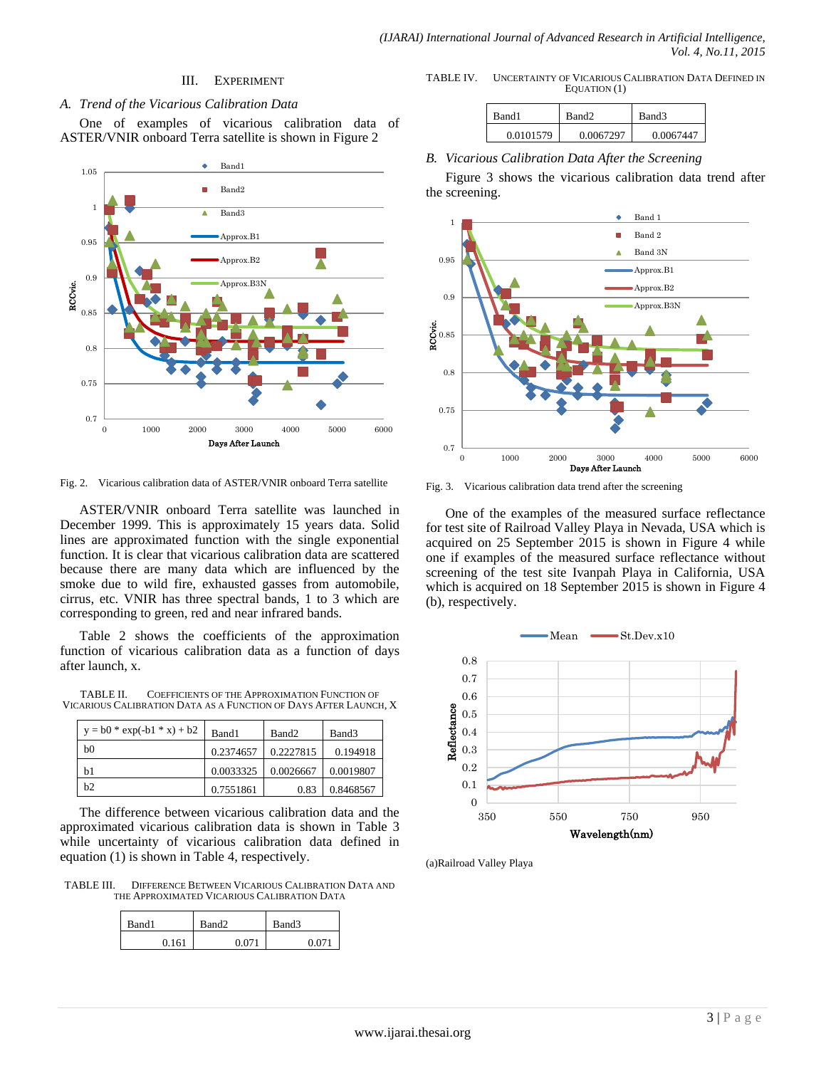# III. EXPERIMENT

# *A. Trend of the Vicarious Calibration Data*

One of examples of vicarious calibration data of ASTER/VNIR onboard Terra satellite is shown in Figure 2



Fig. 2. Vicarious calibration data of ASTER/VNIR onboard Terra satellite

ASTER/VNIR onboard Terra satellite was launched in December 1999. This is approximately 15 years data. Solid lines are approximated function with the single exponential function. It is clear that vicarious calibration data are scattered because there are many data which are influenced by the smoke due to wild fire, exhausted gasses from automobile, cirrus, etc. VNIR has three spectral bands, 1 to 3 which are corresponding to green, red and near infrared bands.

Table 2 shows the coefficients of the approximation function of vicarious calibration data as a function of days after launch, x.

TABLE II. COEFFICIENTS OF THE APPROXIMATION FUNCTION OF VICARIOUS CALIBRATION DATA AS A FUNCTION OF DAYS AFTER LAUNCH, X

| $y = b0 * exp(-b1 * x) + b2$ | Band1     | Band2     | Band3     |
|------------------------------|-----------|-----------|-----------|
| b <sub>0</sub>               | 0.2374657 | 0.2227815 | 0.194918  |
| h1                           | 0.0033325 | 0.0026667 | 0.0019807 |
| h2                           | 0.7551861 | 0.83      | 0.8468567 |

The difference between vicarious calibration data and the approximated vicarious calibration data is shown in Table 3 while uncertainty of vicarious calibration data defined in equation (1) is shown in Table 4, respectively.

TABLE III. DIFFERENCE BETWEEN VICARIOUS CALIBRATION DATA AND THE APPROXIMATED VICARIOUS CALIBRATION DATA

| Band1 |       | Band <sub>2</sub> | Band3 |
|-------|-------|-------------------|-------|
|       | 0.161 | 0.071             | 0.071 |

TABLE IV. UNCERTAINTY OF VICARIOUS CALIBRATION DATA DEFINED IN EQUATION (1)

| Band1     | Band <sub>2</sub> | Band3     |
|-----------|-------------------|-----------|
| 0.0101579 | 0.0067297         | 0.0067447 |

*B. Vicarious Calibration Data After the Screening* 

Figure 3 shows the vicarious calibration data trend after the screening.



Fig. 3. Vicarious calibration data trend after the screening

One of the examples of the measured surface reflectance for test site of Railroad Valley Playa in Nevada, USA which is acquired on 25 September 2015 is shown in Figure 4 while one if examples of the measured surface reflectance without screening of the test site Ivanpah Playa in California, USA which is acquired on 18 September 2015 is shown in Figure 4 (b), respectively.



(a)Railroad Valley Playa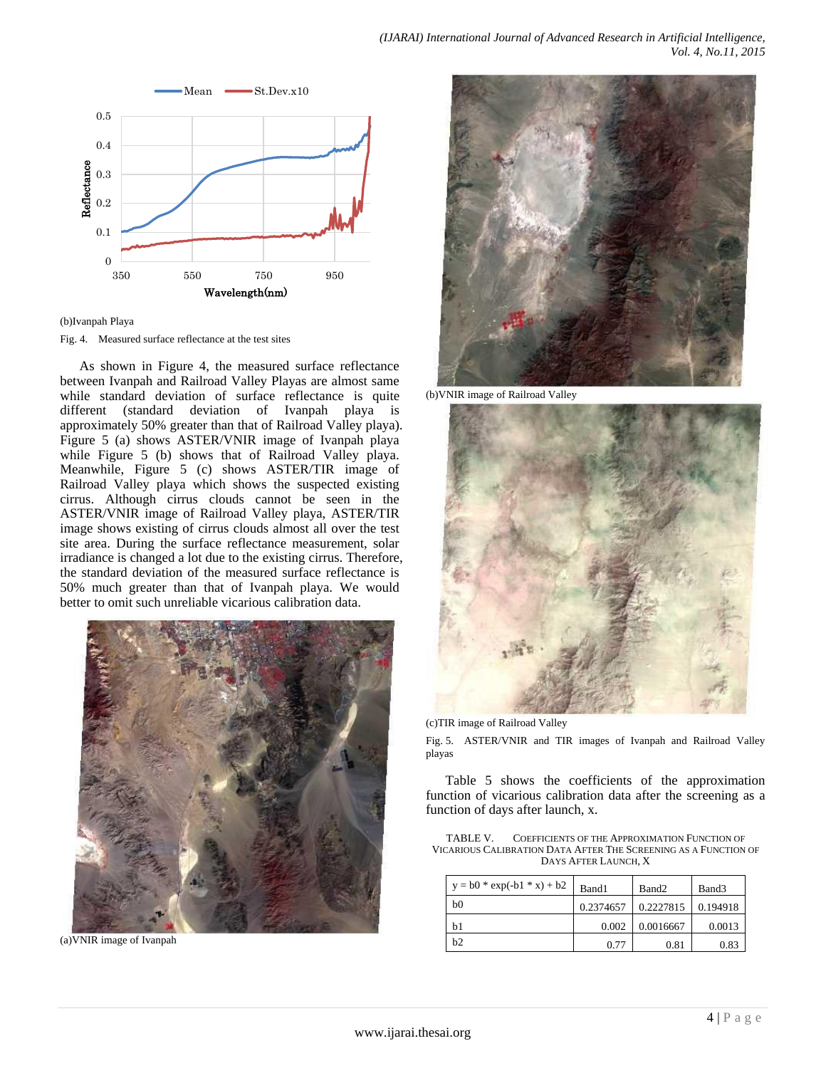



Fig. 4. Measured surface reflectance at the test sites

As shown in Figure 4, the measured surface reflectance between Ivanpah and Railroad Valley Playas are almost same while standard deviation of surface reflectance is quite different (standard deviation of Ivanpah playa is approximately 50% greater than that of Railroad Valley playa). Figure 5 (a) shows ASTER/VNIR image of Ivanpah playa while Figure 5 (b) shows that of Railroad Valley playa. Meanwhile, Figure 5 (c) shows ASTER/TIR image of Railroad Valley playa which shows the suspected existing cirrus. Although cirrus clouds cannot be seen in the ASTER/VNIR image of Railroad Valley playa, ASTER/TIR image shows existing of cirrus clouds almost all over the test site area. During the surface reflectance measurement, solar irradiance is changed a lot due to the existing cirrus. Therefore, the standard deviation of the measured surface reflectance is 50% much greater than that of Ivanpah playa. We would better to omit such unreliable vicarious calibration data.



(a)VNIR image of Ivanpah



(b)VNIR image of Railroad Valley



(c)TIR image of Railroad Valley

Fig. 5. ASTER/VNIR and TIR images of Ivanpah and Railroad Valley playas

Table 5 shows the coefficients of the approximation function of vicarious calibration data after the screening as a function of days after launch, x.

TABLE V. COEFFICIENTS OF THE APPROXIMATION FUNCTION OF VICARIOUS CALIBRATION DATA AFTER THE SCREENING AS A FUNCTION OF DAYS AFTER LAUNCH, X

| $y = b0 * exp(-b1 * x) + b2$ | Band1     | Band2     | Band3    |
|------------------------------|-----------|-----------|----------|
| $b\Omega$                    | 0.2374657 | 0.2227815 | 0.194918 |
| b1                           | 0.002     | 0.0016667 | 0.0013   |
| h2                           | 0.77      | 0.81      | 0.83     |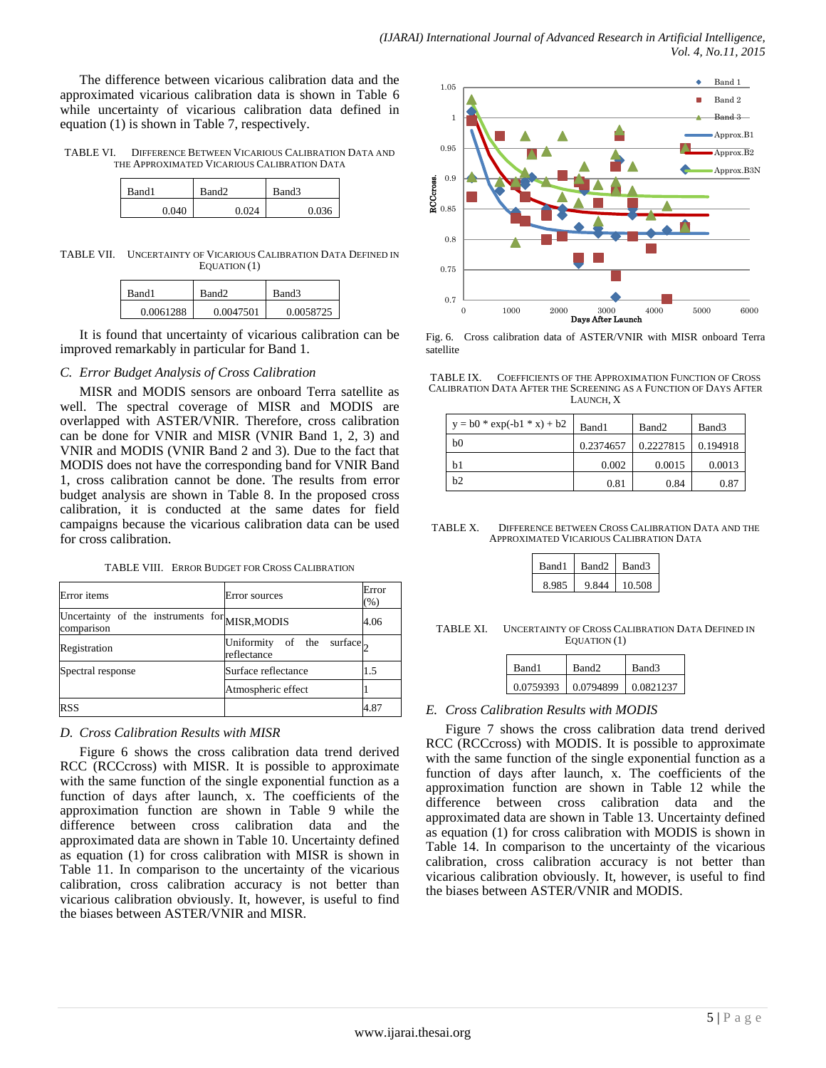The difference between vicarious calibration data and the approximated vicarious calibration data is shown in Table 6 while uncertainty of vicarious calibration data defined in equation (1) is shown in Table 7, respectively.

TABLE VI. DIFFERENCE BETWEEN VICARIOUS CALIBRATION DATA AND THE APPROXIMATED VICARIOUS CALIBRATION DATA

| Band1 | Band <sub>2</sub> | Band3 |
|-------|-------------------|-------|
| 0.040 | 0.024             | 0.036 |

TABLE VII. UNCERTAINTY OF VICARIOUS CALIBRATION DATA DEFINED IN EQUATION (1)

| Band1     | Band <sub>2</sub> | Band3     |
|-----------|-------------------|-----------|
| 0.0061288 | 0.0047501         | 0.0058725 |

It is found that uncertainty of vicarious calibration can be improved remarkably in particular for Band 1.

# *C. Error Budget Analysis of Cross Calibration*

MISR and MODIS sensors are onboard Terra satellite as well. The spectral coverage of MISR and MODIS are overlapped with ASTER/VNIR. Therefore, cross calibration can be done for VNIR and MISR (VNIR Band 1, 2, 3) and VNIR and MODIS (VNIR Band 2 and 3). Due to the fact that MODIS does not have the corresponding band for VNIR Band 1, cross calibration cannot be done. The results from error budget analysis are shown in Table 8. In the proposed cross calibration, it is conducted at the same dates for field campaigns because the vicarious calibration data can be used for cross calibration.

TABLE VIII. ERROR BUDGET FOR CROSS CALIBRATION

| Error items                                                  | Error sources                                | Error<br>(%) |
|--------------------------------------------------------------|----------------------------------------------|--------------|
| Uncertainty of the instruments for MISR, MODIS<br>comparison |                                              | 4.06         |
| Registration                                                 | Uniformity of the<br>surface.<br>reflectance |              |
| Spectral response                                            | Surface reflectance                          | 1.5          |
|                                                              | Atmospheric effect                           |              |
| <b>RSS</b>                                                   |                                              | 4.87         |

# *D. Cross Calibration Results with MISR*

Figure 6 shows the cross calibration data trend derived RCC (RCCcross) with MISR. It is possible to approximate with the same function of the single exponential function as a function of days after launch, x. The coefficients of the approximation function are shown in Table 9 while the difference between cross calibration data and the approximated data are shown in Table 10. Uncertainty defined as equation (1) for cross calibration with MISR is shown in Table 11. In comparison to the uncertainty of the vicarious calibration, cross calibration accuracy is not better than vicarious calibration obviously. It, however, is useful to find the biases between ASTER/VNIR and MISR.



Fig. 6. Cross calibration data of ASTER/VNIR with MISR onboard Terra satellite

TABLE IX. COEFFICIENTS OF THE APPROXIMATION FUNCTION OF CROSS CALIBRATION DATA AFTER THE SCREENING AS A FUNCTION OF DAYS AFTER LAUNCH, X

| $y = b0 * exp(-b1 * x) + b2$ | Band1     | Band2     | Band3    |
|------------------------------|-----------|-----------|----------|
| b <sub>0</sub>               | 0.2374657 | 0.2227815 | 0.194918 |
| b1                           | 0.002     | 0.0015    | 0.0013   |
| h2                           | 0.81      | 0.84      | 0.87     |

TABLE X. DIFFERENCE BETWEEN CROSS CALIBRATION DATA AND THE APPROXIMATED VICARIOUS CALIBRATION DATA

| Band1 | Band <sub>2</sub> | Band3  |
|-------|-------------------|--------|
| 8.985 | 9.844             | 10.508 |

TABLE XI. UNCERTAINTY OF CROSS CALIBRATION DATA DEFINED IN EQUATION (1)

| Band1     | Band <sub>2</sub>       | Band3 |
|-----------|-------------------------|-------|
| 0.0759393 | $0.0794899$ $0.0821237$ |       |

# *E. Cross Calibration Results with MODIS*

Figure 7 shows the cross calibration data trend derived RCC (RCCcross) with MODIS. It is possible to approximate with the same function of the single exponential function as a function of days after launch, x. The coefficients of the approximation function are shown in Table 12 while the difference between cross calibration data and the approximated data are shown in Table 13. Uncertainty defined as equation (1) for cross calibration with MODIS is shown in Table 14. In comparison to the uncertainty of the vicarious calibration, cross calibration accuracy is not better than vicarious calibration obviously. It, however, is useful to find the biases between ASTER/VNIR and MODIS.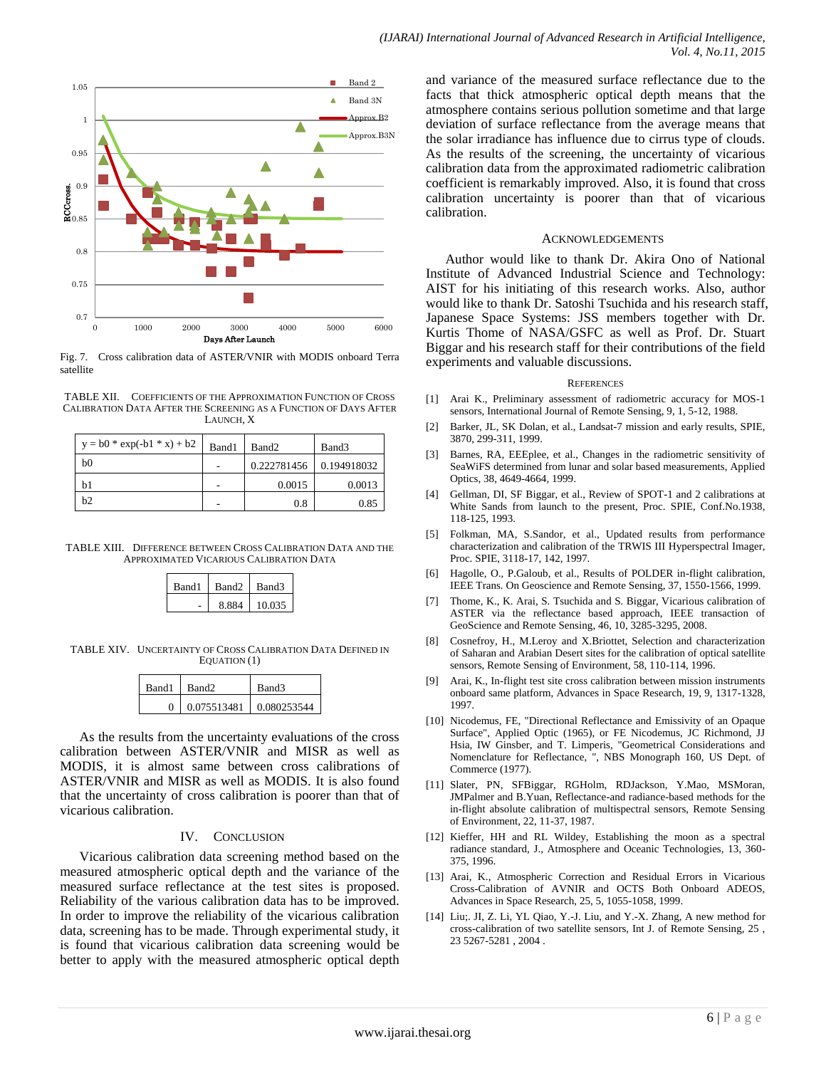

Fig. 7. Cross calibration data of ASTER/VNIR with MODIS onboard Terra satellite

| <b>TABLE XII. COEFFICIENTS OF THE APPROXIMATION FUNCTION OF CROSS</b> |
|-----------------------------------------------------------------------|
| CALIBRATION DATA AFTER THE SCREENING AS A FUNCTION OF DAYS AFTER      |
| LAUNCH, X                                                             |

| $y = b0 * exp(-b1 * x) + b2$ | Band1 | Band <sub>2</sub> | Band3       |
|------------------------------|-------|-------------------|-------------|
| b <sub>0</sub>               |       | 0.222781456       | 0.194918032 |
| b <sub>1</sub>               |       | 0.0015            | 0.0013      |
| h2                           |       | 0.8               | 0.85        |

TABLE XIII. DIFFERENCE BETWEEN CROSS CALIBRATION DATA AND THE APPROXIMATED VICARIOUS CALIBRATION DATA

| Band1 | Band <sub>2</sub> | Band <sub>3</sub> |
|-------|-------------------|-------------------|
|       | 8.884             | 10.035            |

TABLE XIV. UNCERTAINTY OF CROSS CALIBRATION DATA DEFINED IN EQUATION (1)

| Band1 Band2 | Band3                     |
|-------------|---------------------------|
|             | 0.075513481   0.080253544 |

As the results from the uncertainty evaluations of the cross calibration between ASTER/VNIR and MISR as well as MODIS, it is almost same between cross calibrations of ASTER/VNIR and MISR as well as MODIS. It is also found that the uncertainty of cross calibration is poorer than that of vicarious calibration.

#### IV. CONCLUSION

Vicarious calibration data screening method based on the measured atmospheric optical depth and the variance of the measured surface reflectance at the test sites is proposed. Reliability of the various calibration data has to be improved. In order to improve the reliability of the vicarious calibration data, screening has to be made. Through experimental study, it is found that vicarious calibration data screening would be better to apply with the measured atmospheric optical depth and variance of the measured surface reflectance due to the facts that thick atmospheric optical depth means that the atmosphere contains serious pollution sometime and that large deviation of surface reflectance from the average means that the solar irradiance has influence due to cirrus type of clouds. As the results of the screening, the uncertainty of vicarious calibration data from the approximated radiometric calibration coefficient is remarkably improved. Also, it is found that cross calibration uncertainty is poorer than that of vicarious calibration.

### ACKNOWLEDGEMENTS

Author would like to thank Dr. Akira Ono of National Institute of Advanced Industrial Science and Technology: AIST for his initiating of this research works. Also, author would like to thank Dr. Satoshi Tsuchida and his research staff, Japanese Space Systems: JSS members together with Dr. Kurtis Thome of NASA/GSFC as well as Prof. Dr. Stuart Biggar and his research staff for their contributions of the field experiments and valuable discussions.

#### **REFERENCES**

- [1] Arai K., Preliminary assessment of radiometric accuracy for MOS-1 sensors, International Journal of Remote Sensing, 9, 1, 5-12, 1988.
- [2] Barker, JL, SK Dolan, et al., Landsat-7 mission and early results, SPIE, 3870, 299-311, 1999.
- [3] Barnes, RA, EEEplee, et al., Changes in the radiometric sensitivity of SeaWiFS determined from lunar and solar based measurements, Applied Optics, 38, 4649-4664, 1999.
- [4] Gellman, DI, SF Biggar, et al., Review of SPOT-1 and 2 calibrations at White Sands from launch to the present, Proc. SPIE, Conf.No.1938, 118-125, 1993.
- [5] Folkman, MA, S.Sandor, et al., Updated results from performance characterization and calibration of the TRWIS III Hyperspectral Imager, Proc. SPIE, 3118-17, 142, 1997.
- [6] Hagolle, O., P.Galoub, et al., Results of POLDER in-flight calibration, IEEE Trans. On Geoscience and Remote Sensing, 37, 1550-1566, 1999.
- [7] Thome, K., K. Arai, S. Tsuchida and S. Biggar, Vicarious calibration of ASTER via the reflectance based approach, IEEE transaction of GeoScience and Remote Sensing, 46, 10, 3285-3295, 2008.
- [8] Cosnefroy, H., M.Leroy and X.Briottet, Selection and characterization of Saharan and Arabian Desert sites for the calibration of optical satellite sensors, Remote Sensing of Environment, 58, 110-114, 1996.
- [9] Arai, K., In-flight test site cross calibration between mission instruments onboard same platform, Advances in Space Research, 19, 9, 1317-1328, 1997.
- [10] Nicodemus, FE, "Directional Reflectance and Emissivity of an Opaque Surface", Applied Optic (1965), or FE Nicodemus, JC Richmond, JJ Hsia, IW Ginsber, and T. Limperis, "Geometrical Considerations and Nomenclature for Reflectance, ", NBS Monograph 160, US Dept. of Commerce (1977).
- [11] Slater, PN, SFBiggar, RGHolm, RDJackson, Y.Mao, MSMoran, JMPalmer and B.Yuan, Reflectance-and radiance-based methods for the in-flight absolute calibration of multispectral sensors, Remote Sensing of Environment, 22, 11-37, 1987.
- [12] Kieffer, HH and RL Wildey, Establishing the moon as a spectral radiance standard, J., Atmosphere and Oceanic Technologies, 13, 360- 375, 1996.
- [13] Arai, K., Atmospheric Correction and Residual Errors in Vicarious Cross-Calibration of AVNIR and OCTS Both Onboard ADEOS, Advances in Space Research, 25, 5, 1055-1058, 1999.
- [14] Liu;. JI, Z. Li, YL Qiao, Y.-J. Liu, and Y.-X. Zhang, A new method for cross-calibration of two satellite sensors, Int J. of Remote Sensing, 25 , 23 5267-5281 , 2004 .